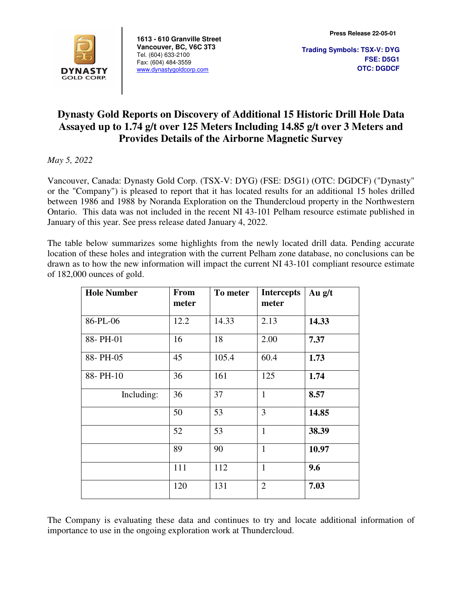

**1613 - 610 Granville Street Vancouver, BC, V6C 3T3**  Tel. (604) 633-2100 Fax: (604) 484-3559 www.dynastygoldcorp.com

**Trading Symbols: TSX-V: DYG FSE: D5G1 OTC: DGDCF**

# **Dynasty Gold Reports on Discovery of Additional 15 Historic Drill Hole Data Assayed up to 1.74 g/t over 125 Meters Including 14.85 g/t over 3 Meters and Provides Details of the Airborne Magnetic Survey**

*May 5, 2022* 

Vancouver, Canada: Dynasty Gold Corp. (TSX-V: DYG) (FSE: D5G1) (OTC: DGDCF) ("Dynasty" or the "Company") is pleased to report that it has located results for an additional 15 holes drilled between 1986 and 1988 by Noranda Exploration on the Thundercloud property in the Northwestern Ontario. This data was not included in the recent NI 43-101 Pelham resource estimate published in January of this year. See press release dated January 4, 2022.

The table below summarizes some highlights from the newly located drill data. Pending accurate location of these holes and integration with the current Pelham zone database, no conclusions can be drawn as to how the new information will impact the current NI 43-101 compliant resource estimate of 182,000 ounces of gold.

| <b>Hole Number</b> | <b>From</b><br>meter | To meter | <b>Intercepts</b><br>meter | Au $g/t$ |
|--------------------|----------------------|----------|----------------------------|----------|
| 86-PL-06           | 12.2                 | 14.33    | 2.13                       | 14.33    |
| 88-PH-01           | 16                   | 18       | 2.00                       | 7.37     |
| 88-PH-05           | 45                   | 105.4    | 60.4                       | 1.73     |
| 88-PH-10           | 36                   | 161      | 125                        | 1.74     |
| Including:         | 36                   | 37       | $\mathbf{1}$               | 8.57     |
|                    | 50                   | 53       | 3                          | 14.85    |
|                    | 52                   | 53       | $\mathbf{1}$               | 38.39    |
|                    | 89                   | 90       | $\mathbf{1}$               | 10.97    |
|                    | 111                  | 112      | $\mathbf{1}$               | 9.6      |
|                    | 120                  | 131      | $\overline{2}$             | 7.03     |

The Company is evaluating these data and continues to try and locate additional information of importance to use in the ongoing exploration work at Thundercloud.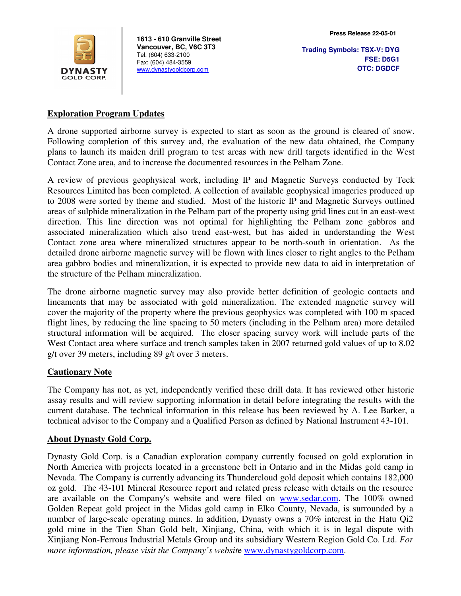

**1613 - 610 Granville Street Vancouver, BC, V6C 3T3**  Tel. (604) 633-2100 Fax: (604) 484-3559 www.dynastygoldcorp.com

**Trading Symbols: TSX-V: DYG FSE: D5G1 OTC: DGDCF**

#### **Exploration Program Updates**

A drone supported airborne survey is expected to start as soon as the ground is cleared of snow. Following completion of this survey and, the evaluation of the new data obtained, the Company plans to launch its maiden drill program to test areas with new drill targets identified in the West Contact Zone area, and to increase the documented resources in the Pelham Zone.

A review of previous geophysical work, including IP and Magnetic Surveys conducted by Teck Resources Limited has been completed. A collection of available geophysical imageries produced up to 2008 were sorted by theme and studied. Most of the historic IP and Magnetic Surveys outlined areas of sulphide mineralization in the Pelham part of the property using grid lines cut in an east-west direction. This line direction was not optimal for highlighting the Pelham zone gabbros and associated mineralization which also trend east-west, but has aided in understanding the West Contact zone area where mineralized structures appear to be north-south in orientation. As the detailed drone airborne magnetic survey will be flown with lines closer to right angles to the Pelham area gabbro bodies and mineralization, it is expected to provide new data to aid in interpretation of the structure of the Pelham mineralization.

The drone airborne magnetic survey may also provide better definition of geologic contacts and lineaments that may be associated with gold mineralization. The extended magnetic survey will cover the majority of the property where the previous geophysics was completed with 100 m spaced flight lines, by reducing the line spacing to 50 meters (including in the Pelham area) more detailed structural information will be acquired. The closer spacing survey work will include parts of the West Contact area where surface and trench samples taken in 2007 returned gold values of up to 8.02 g/t over 39 meters, including 89 g/t over 3 meters.

### **Cautionary Note**

The Company has not, as yet, independently verified these drill data. It has reviewed other historic assay results and will review supporting information in detail before integrating the results with the current database. The technical information in this release has been reviewed by A. Lee Barker, a technical advisor to the Company and a Qualified Person as defined by National Instrument 43-101.

### **About Dynasty Gold Corp.**

Dynasty Gold Corp. is a Canadian exploration company currently focused on gold exploration in North America with projects located in a greenstone belt in Ontario and in the Midas gold camp in Nevada. The Company is currently advancing its Thundercloud gold deposit which contains 182,000 oz gold. The 43-101 Mineral Resource report and related press release with details on the resource are available on the Company's website and were filed on www.sedar.com. The 100% owned Golden Repeat gold project in the Midas gold camp in Elko County, Nevada, is surrounded by a number of large-scale operating mines. In addition, Dynasty owns a 70% interest in the Hatu Qi2 gold mine in the Tien Shan Gold belt, Xinjiang, China, with which it is in legal dispute with Xinjiang Non-Ferrous Industrial Metals Group and its subsidiary Western Region Gold Co. Ltd. *For more information, please visit the Company's website* www.dynastygoldcorp.com.